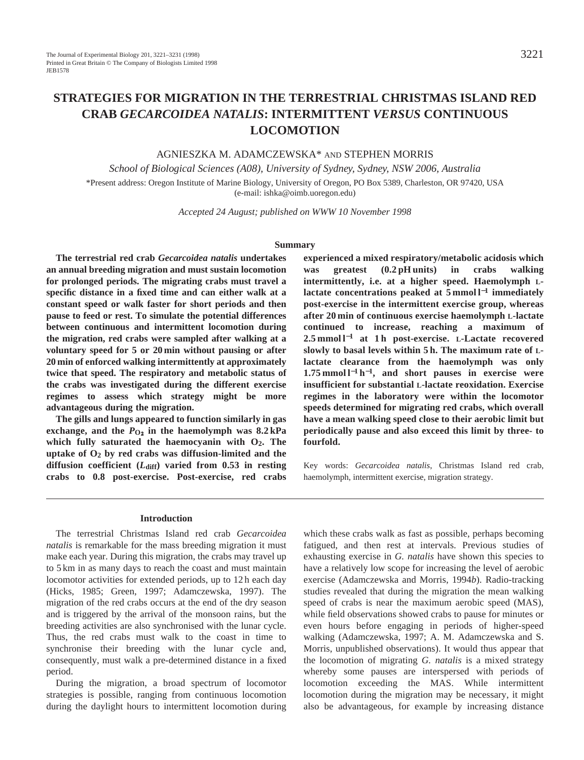# **STRATEGIES FOR MIGRATION IN THE TERRESTRIAL CHRISTMAS ISLAND RED CRAB** *GECARCOIDEA NATALIS***: INTERMITTENT** *VERSUS* **CONTINUOUS LOCOMOTION**

### AGNIESZKA M. ADAMCZEWSKA\* AND STEPHEN MORRIS

*School of Biological Sciences (A08), University of Sydney, Sydney, NSW 2006, Australia* \*Present address: Oregon Institute of Marine Biology, University of Oregon, PO Box 5389, Charleston, OR 97420, USA (e-mail: ishka@oimb.uoregon.edu)

*Accepted 24 August; published on WWW 10 November 1998*

#### **Summary**

**The terrestrial red crab** *Gecarcoidea natalis* **undertakes an annual breeding migration and must sustain locomotion for prolonged periods. The migrating crabs must travel a specific distance in a fixed time and can either walk at a constant speed or walk faster for short periods and then pause to feed or rest. To simulate the potential differences between continuous and intermittent locomotion during the migration, red crabs were sampled after walking at a voluntary speed for 5 or 20 min without pausing or after 20 min of enforced walking intermittently at approximately twice that speed. The respiratory and metabolic status of the crabs was investigated during the different exercise regimes to assess which strategy might be more advantageous during the migration.**

**The gills and lungs appeared to function similarly in gas** exchange, and the  $P_{O_2}$  in the haemolymph was  $8.2 \text{ kPa}$ **which fully saturated the haemocyanin with O2. The uptake of O2 by red crabs was diffusion-limited and the diffusion coefficient (***L***diff) varied from 0.53 in resting crabs to 0.8 post-exercise. Post-exercise, red crabs** **experienced a mixed respiratory/metabolic acidosis which was greatest (0.2 pH units) in crabs walking intermittently, i.e. at a higher speed. Haemolymph Llactate concentrations peaked at 5 mmol l**−**<sup>1</sup> immediately post-exercise in the intermittent exercise group, whereas after 20 min of continuous exercise haemolymph L-lactate continued to increase, reaching a maximum of 2.5 mmol l**−**<sup>1</sup> at 1 h post-exercise. L-Lactate recovered slowly to basal levels within 5 h. The maximum rate of Llactate clearance from the haemolymph was only 1.75 mmol l**−**<sup>1</sup> h**<sup>−</sup>**1, and short pauses in exercise were insufficient for substantial L-lactate reoxidation. Exercise regimes in the laboratory were within the locomotor speeds determined for migrating red crabs, which overall have a mean walking speed close to their aerobic limit but periodically pause and also exceed this limit by three- to fourfold.**

Key words: *Gecarcoidea natalis*, Christmas Island red crab, haemolymph, intermittent exercise, migration strategy.

#### **Introduction**

The terrestrial Christmas Island red crab *Gecarcoidea natalis* is remarkable for the mass breeding migration it must make each year. During this migration, the crabs may travel up to 5 km in as many days to reach the coast and must maintain locomotor activities for extended periods, up to 12 h each day (Hicks, 1985; Green, 1997; Adamczewska, 1997). The migration of the red crabs occurs at the end of the dry season and is triggered by the arrival of the monsoon rains, but the breeding activities are also synchronised with the lunar cycle. Thus, the red crabs must walk to the coast in time to synchronise their breeding with the lunar cycle and, consequently, must walk a pre-determined distance in a fixed period.

During the migration, a broad spectrum of locomotor strategies is possible, ranging from continuous locomotion during the daylight hours to intermittent locomotion during

which these crabs walk as fast as possible, perhaps becoming fatigued, and then rest at intervals. Previous studies of exhausting exercise in *G. natalis* have shown this species to have a relatively low scope for increasing the level of aerobic exercise (Adamczewska and Morris, 1994*b*). Radio-tracking studies revealed that during the migration the mean walking speed of crabs is near the maximum aerobic speed (MAS), while field observations showed crabs to pause for minutes or even hours before engaging in periods of higher-speed walking (Adamczewska, 1997; A. M. Adamczewska and S. Morris, unpublished observations). It would thus appear that the locomotion of migrating *G. natalis* is a mixed strategy whereby some pauses are interspersed with periods of locomotion exceeding the MAS. While intermittent locomotion during the migration may be necessary, it might also be advantageous, for example by increasing distance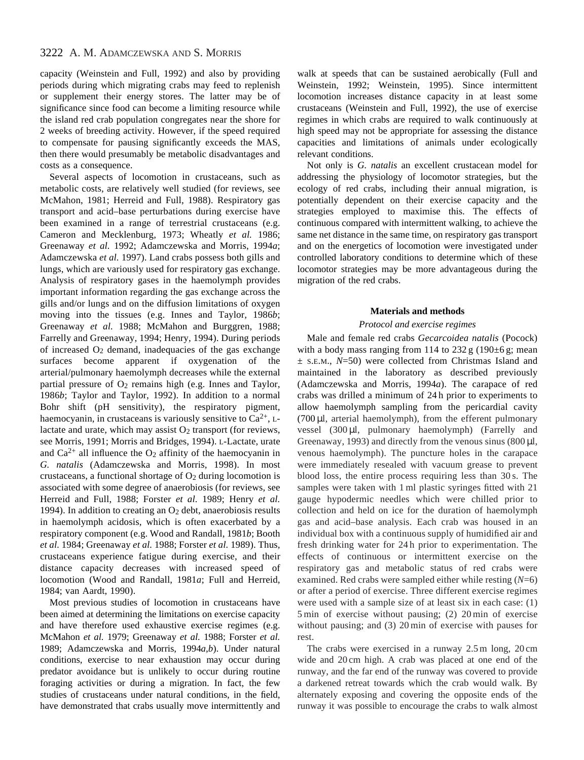capacity (Weinstein and Full, 1992) and also by providing periods during which migrating crabs may feed to replenish or supplement their energy stores. The latter may be of significance since food can become a limiting resource while the island red crab population congregates near the shore for 2 weeks of breeding activity. However, if the speed required to compensate for pausing significantly exceeds the MAS, then there would presumably be metabolic disadvantages and costs as a consequence.

Several aspects of locomotion in crustaceans, such as metabolic costs, are relatively well studied (for reviews, see McMahon, 1981; Herreid and Full, 1988). Respiratory gas transport and acid–base perturbations during exercise have been examined in a range of terrestrial crustaceans (e.g. Cameron and Mecklenburg, 1973; Wheatly *et al.* 1986; Greenaway *et al.* 1992; Adamczewska and Morris, 1994*a*; Adamczewska *et al.* 1997). Land crabs possess both gills and lungs, which are variously used for respiratory gas exchange. Analysis of respiratory gases in the haemolymph provides important information regarding the gas exchange across the gills and/or lungs and on the diffusion limitations of oxygen moving into the tissues (e.g. Innes and Taylor, 1986*b*; Greenaway *et al.* 1988; McMahon and Burggren, 1988; Farrelly and Greenaway, 1994; Henry, 1994). During periods of increased  $O_2$  demand, inadequacies of the gas exchange surfaces become apparent if oxygenation of the arterial/pulmonary haemolymph decreases while the external partial pressure of O2 remains high (e.g. Innes and Taylor, 1986*b*; Taylor and Taylor, 1992). In addition to a normal Bohr shift (pH sensitivity), the respiratory pigment, haemocyanin, in crustaceans is variously sensitive to  $Ca^{2+}$ , Llactate and urate, which may assist  $O<sub>2</sub>$  transport (for reviews, see Morris, 1991; Morris and Bridges, 1994). L-Lactate, urate and  $Ca^{2+}$  all influence the  $O_2$  affinity of the haemocyanin in *G. natalis* (Adamczewska and Morris, 1998). In most crustaceans, a functional shortage of  $O<sub>2</sub>$  during locomotion is associated with some degree of anaerobiosis (for reviews, see Herreid and Full, 1988; Forster *et al.* 1989; Henry *et al.* 1994). In addition to creating an  $O<sub>2</sub>$  debt, anaerobiosis results in haemolymph acidosis, which is often exacerbated by a respiratory component (e.g. Wood and Randall, 1981*b*; Booth *et al.* 1984; Greenaway *et al.* 1988; Forster *et al.* 1989). Thus, crustaceans experience fatigue during exercise, and their distance capacity decreases with increased speed of locomotion (Wood and Randall, 1981*a*; Full and Herreid, 1984; van Aardt, 1990).

Most previous studies of locomotion in crustaceans have been aimed at determining the limitations on exercise capacity and have therefore used exhaustive exercise regimes (e.g. McMahon *et al.* 1979; Greenaway *et al.* 1988; Forster *et al.* 1989; Adamczewska and Morris, 1994*a*,*b*). Under natural conditions, exercise to near exhaustion may occur during predator avoidance but is unlikely to occur during routine foraging activities or during a migration. In fact, the few studies of crustaceans under natural conditions, in the field, have demonstrated that crabs usually move intermittently and walk at speeds that can be sustained aerobically (Full and Weinstein, 1992; Weinstein, 1995). Since intermittent locomotion increases distance capacity in at least some crustaceans (Weinstein and Full, 1992), the use of exercise regimes in which crabs are required to walk continuously at high speed may not be appropriate for assessing the distance capacities and limitations of animals under ecologically relevant conditions.

Not only is *G. natalis* an excellent crustacean model for addressing the physiology of locomotor strategies, but the ecology of red crabs, including their annual migration, is potentially dependent on their exercise capacity and the strategies employed to maximise this. The effects of continuous compared with intermittent walking, to achieve the same net distance in the same time, on respiratory gas transport and on the energetics of locomotion were investigated under controlled laboratory conditions to determine which of these locomotor strategies may be more advantageous during the migration of the red crabs.

#### **Materials and methods**

### *Protocol and exercise regimes*

Male and female red crabs *Gecarcoidea natalis* (Pocock) with a body mass ranging from 114 to  $232 g (190 \pm 6 g; \text{mean})$ ± S.E.M., *N*=50) were collected from Christmas Island and maintained in the laboratory as described previously (Adamczewska and Morris, 1994*a*). The carapace of red crabs was drilled a minimum of 24 h prior to experiments to allow haemolymph sampling from the pericardial cavity (700 µl, arterial haemolymph), from the efferent pulmonary vessel (300 µl, pulmonary haemolymph) (Farrelly and Greenaway, 1993) and directly from the venous sinus  $(800 \,\mu$ l, venous haemolymph). The puncture holes in the carapace were immediately resealed with vacuum grease to prevent blood loss, the entire process requiring less than 30 s. The samples were taken with 1 ml plastic syringes fitted with 21 gauge hypodermic needles which were chilled prior to collection and held on ice for the duration of haemolymph gas and acid–base analysis. Each crab was housed in an individual box with a continuous supply of humidified air and fresh drinking water for 24 h prior to experimentation. The effects of continuous or intermittent exercise on the respiratory gas and metabolic status of red crabs were examined. Red crabs were sampled either while resting (*N*=6) or after a period of exercise. Three different exercise regimes were used with a sample size of at least six in each case: (1) 5 min of exercise without pausing; (2) 20 min of exercise without pausing; and (3) 20 min of exercise with pauses for rest.

The crabs were exercised in a runway 2.5 m long, 20 cm wide and 20 cm high. A crab was placed at one end of the runway, and the far end of the runway was covered to provide a darkened retreat towards which the crab would walk. By alternately exposing and covering the opposite ends of the runway it was possible to encourage the crabs to walk almost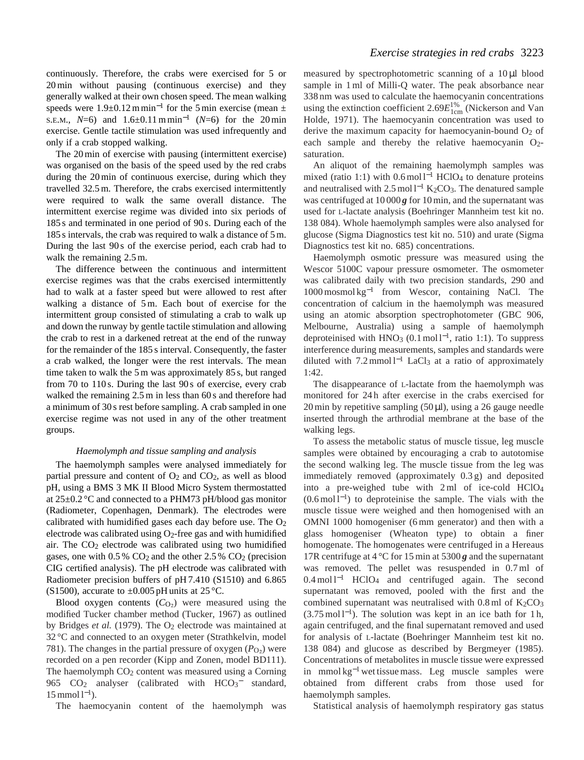continuously. Therefore, the crabs were exercised for 5 or 20 min without pausing (continuous exercise) and they generally walked at their own chosen speed. The mean walking speeds were  $1.9\pm0.12$  m min<sup>-1</sup> for the 5 min exercise (mean  $\pm$ S.E.M.,  $N=6$ ) and  $1.6\pm0.11$  m min<sup>-1</sup> ( $N=6$ ) for the 20 min exercise. Gentle tactile stimulation was used infrequently and only if a crab stopped walking.

The 20 min of exercise with pausing (intermittent exercise) was organised on the basis of the speed used by the red crabs during the 20 min of continuous exercise, during which they travelled 32.5 m. Therefore, the crabs exercised intermittently were required to walk the same overall distance. The intermittent exercise regime was divided into six periods of 185 s and terminated in one period of 90 s. During each of the 185 s intervals, the crab was required to walk a distance of 5 m. During the last 90 s of the exercise period, each crab had to walk the remaining 2.5 m.

The difference between the continuous and intermittent exercise regimes was that the crabs exercised intermittently had to walk at a faster speed but were allowed to rest after walking a distance of 5 m. Each bout of exercise for the intermittent group consisted of stimulating a crab to walk up and down the runway by gentle tactile stimulation and allowing the crab to rest in a darkened retreat at the end of the runway for the remainder of the 185 s interval. Consequently, the faster a crab walked, the longer were the rest intervals. The mean time taken to walk the 5 m was approximately 85 s, but ranged from 70 to 110 s. During the last 90 s of exercise, every crab walked the remaining 2.5 m in less than 60 s and therefore had a minimum of 30 s rest before sampling. A crab sampled in one exercise regime was not used in any of the other treatment groups.

## *Haemolymph and tissue sampling and analysis*

The haemolymph samples were analysed immediately for partial pressure and content of  $O_2$  and  $CO_2$ , as well as blood pH, using a BMS 3 MK II Blood Micro System thermostatted at 25±0.2 °C and connected to a PHM73 pH/blood gas monitor (Radiometer, Copenhagen, Denmark). The electrodes were calibrated with humidified gases each day before use. The O2 electrode was calibrated using  $O<sub>2</sub>$ -free gas and with humidified air. The CO2 electrode was calibrated using two humidified gases, one with  $0.5\%$  CO<sub>2</sub> and the other  $2.5\%$  CO<sub>2</sub> (precision CIG certified analysis). The pH electrode was calibrated with Radiometer precision buffers of pH 7.410 (S1510) and 6.865 (S1500), accurate to  $\pm 0.005$  pH units at 25 °C.

Blood oxygen contents  $(C<sub>O2</sub>)$  were measured using the modified Tucker chamber method (Tucker, 1967) as outlined by Bridges *et al.* (1979). The O<sub>2</sub> electrode was maintained at 32 °C and connected to an oxygen meter (Strathkelvin, model 781). The changes in the partial pressure of oxygen  $(P<sub>O<sub>2</sub></sub>)$  were recorded on a pen recorder (Kipp and Zonen, model BD111). The haemolymph CO<sub>2</sub> content was measured using a Corning 965  $CO<sub>2</sub>$  analyser (calibrated with  $HCO<sub>3</sub><sup>-</sup>$  standard,  $15$  mmol  $l^{-1}$ ).

The haemocyanin content of the haemolymph was

measured by spectrophotometric scanning of a 10 µl blood sample in 1 ml of Milli-Q water. The peak absorbance near 338 nm was used to calculate the haemocyanin concentrations using the extinction coefficient 2.69 $E_{1cm}^{1\%}$  (Nickerson and Van Holde, 1971). The haemocyanin concentration was used to derive the maximum capacity for haemocyanin-bound  $O_2$  of each sample and thereby the relative haemocyanin O<sub>2</sub>saturation.

An aliquot of the remaining haemolymph samples was mixed (ratio 1:1) with  $0.6 \text{ mol}$  l<sup>-1</sup> HClO<sub>4</sub> to denature proteins and neutralised with  $2.5 \text{ mol} \text{ l}^{-1}$  K<sub>2</sub>CO<sub>3</sub>. The denatured sample was centrifuged at 10 000 *g* for 10 min, and the supernatant was used for L-lactate analysis (Boehringer Mannheim test kit no. 138 084). Whole haemolymph samples were also analysed for glucose (Sigma Diagnostics test kit no. 510) and urate (Sigma Diagnostics test kit no. 685) concentrations.

Haemolymph osmotic pressure was measured using the Wescor 5100C vapour pressure osmometer. The osmometer was calibrated daily with two precision standards, 290 and 1000 mosmol kg−<sup>1</sup> from Wescor, containing NaCl. The concentration of calcium in the haemolymph was measured using an atomic absorption spectrophotometer (GBC 906, Melbourne, Australia) using a sample of haemolymph deproteinised with HNO<sub>3</sub> (0.1 mol  $l^{-1}$ , ratio 1:1). To suppress interference during measurements, samples and standards were diluted with 7.2 mmol l−<sup>1</sup> LaCl3 at a ratio of approximately 1:42.

The disappearance of L-lactate from the haemolymph was monitored for 24 h after exercise in the crabs exercised for 20 min by repetitive sampling  $(50 \,\mu$ ), using a 26 gauge needle inserted through the arthrodial membrane at the base of the walking legs.

To assess the metabolic status of muscle tissue, leg muscle samples were obtained by encouraging a crab to autotomise the second walking leg. The muscle tissue from the leg was immediately removed (approximately 0.3 g) and deposited into a pre-weighed tube with 2 ml of ice-cold HClO4  $(0.6 \text{ mol} \text{1}^{-1})$  to deproteinise the sample. The vials with the muscle tissue were weighed and then homogenised with an OMNI 1000 homogeniser (6 mm generator) and then with a glass homogeniser (Wheaton type) to obtain a finer homogenate. The homogenates were centrifuged in a Hereaus 17R centrifuge at 4 °C for 15 min at 5300 *g* and the supernatant was removed. The pellet was resuspended in 0.7 ml of 0.4 mol l−<sup>1</sup> HClO4 and centrifuged again. The second supernatant was removed, pooled with the first and the combined supernatant was neutralised with  $0.8$  ml of K<sub>2</sub>CO<sub>3</sub>  $(3.75 \text{ mol} 1^{-1})$ . The solution was kept in an ice bath for 1 h, again centrifuged, and the final supernatant removed and used for analysis of L-lactate (Boehringer Mannheim test kit no. 138 084) and glucose as described by Bergmeyer (1985). Concentrations of metabolites in muscle tissue were expressed in mmol kg−<sup>1</sup> wet tissue mass. Leg muscle samples were obtained from different crabs from those used for haemolymph samples.

Statistical analysis of haemolymph respiratory gas status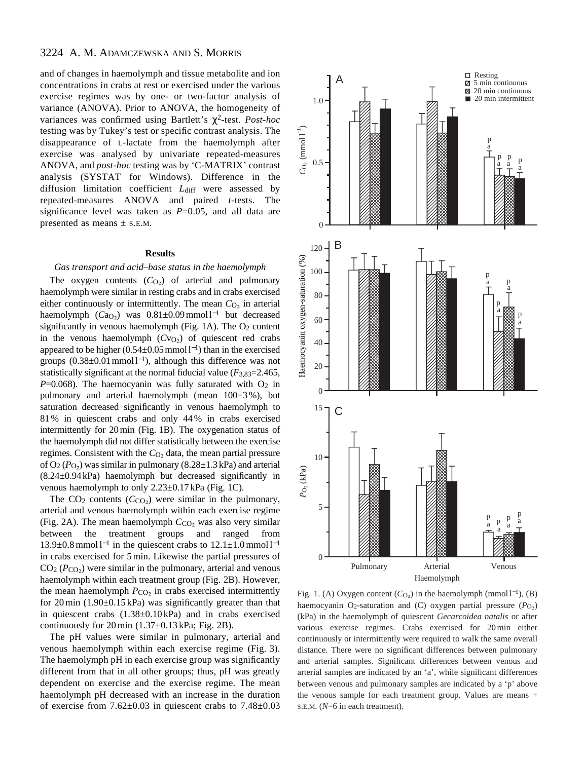and of changes in haemolymph and tissue metabolite and ion concentrations in crabs at rest or exercised under the various exercise regimes was by one- or two-factor analysis of variance (ANOVA). Prior to ANOVA, the homogeneity of variances was confirmed using Bartlett's χ2-test. *Post-hoc* testing was by Tukey's test or specific contrast analysis. The disappearance of L-lactate from the haemolymph after exercise was analysed by univariate repeated-measures ANOVA, and *post-hoc* testing was by 'C-MATRIX' contrast analysis (SYSTAT for Windows). Difference in the diffusion limitation coefficient *L*<sub>diff</sub> were assessed by repeated-measures ANOVA and paired *t*-tests. The significance level was taken as *P*=0.05, and all data are presented as means ± S.E.M.

#### **Results**

# *Gas transport and acid–base status in the haemolymph*

The oxygen contents  $(C<sub>O</sub>)$  of arterial and pulmonary haemolymph were similar in resting crabs and in crabs exercised either continuously or intermittently. The mean  $C_{O<sub>2</sub>}$  in arterial haemolymph (*C*a<sub>O2</sub>) was 0.81±0.09 mmol l<sup>−1</sup> but decreased significantly in venous haemolymph (Fig. 1A). The  $O<sub>2</sub>$  content in the venous haemolymph  $(Cv<sub>O<sub>2</sub></sub>)$  of quiescent red crabs appeared to be higher  $(0.54\pm0.05 \text{ mmol} \, \text{m}^{-1})$  than in the exercised groups  $(0.38\pm0.01 \text{ mmol}^{-1})$ , although this difference was not statistically significant at the normal fiducial value (*F*3,83=2.465,  $P=0.068$ ). The haemocyanin was fully saturated with  $O<sub>2</sub>$  in pulmonary and arterial haemolymph (mean  $100\pm3\%$ ), but saturation decreased significantly in venous haemolymph to 81 % in quiescent crabs and only 44 % in crabs exercised intermittently for 20 min (Fig. 1B). The oxygenation status of the haemolymph did not differ statistically between the exercise regimes. Consistent with the  $C<sub>O</sub>$  data, the mean partial pressure of  $O_2(P_{O_2})$  was similar in pulmonary (8.28 $\pm$ 1.3 kPa) and arterial (8.24±0.94 kPa) haemolymph but decreased significantly in venous haemolymph to only 2.23±0.17 kPa (Fig. 1C).

The  $CO<sub>2</sub>$  contents  $(C<sub>CO<sub>2</sub></sub>)$  were similar in the pulmonary, arterial and venous haemolymph within each exercise regime (Fig. 2A). The mean haemolymph  $C_{CO_2}$  was also very similar between the treatment groups and ranged from  $13.9\pm0.8$  mmol l<sup>-1</sup> in the quiescent crabs to  $12.1\pm1.0$  mmol l<sup>-1</sup> in crabs exercised for 5 min. Likewise the partial pressures of  $CO<sub>2</sub> (P<sub>CO<sub>2</sub></sub>)$  were similar in the pulmonary, arterial and venous haemolymph within each treatment group (Fig. 2B). However, the mean haemolymph  $P_{CO_2}$  in crabs exercised intermittently for 20 min  $(1.90\pm0.15 \text{ kPa})$  was significantly greater than that in quiescent crabs (1.38±0.10 kPa) and in crabs exercised continuously for  $20 \text{ min}$  (1.37 $\pm 0.13 \text{ kPa}$ ; Fig. 2B).

The pH values were similar in pulmonary, arterial and venous haemolymph within each exercise regime (Fig. 3). The haemolymph pH in each exercise group was significantly different from that in all other groups; thus, pH was greatly dependent on exercise and the exercise regime. The mean haemolymph pH decreased with an increase in the duration of exercise from  $7.62 \pm 0.03$  in quiescent crabs to  $7.48 \pm 0.03$ 



Fig. 1. (A) Oxygen content  $(C<sub>O2</sub>)$  in the haemolymph (mmol l<sup>-1</sup>), (B) haemocyanin O2-saturation and (C) oxygen partial pressure  $(P<sub>O<sub>2</sub></sub>)$ (kPa) in the haemolymph of quiescent *Gecarcoidea natalis* or after various exercise regimes. Crabs exercised for 20 min either continuously or intermittently were required to walk the same overall distance. There were no significant differences between pulmonary and arterial samples. Significant differences between venous and arterial samples are indicated by an 'a', while significant differences between venous and pulmonary samples are indicated by a 'p' above the venous sample for each treatment group. Values are means + S.E.M. (*N*=6 in each treatment).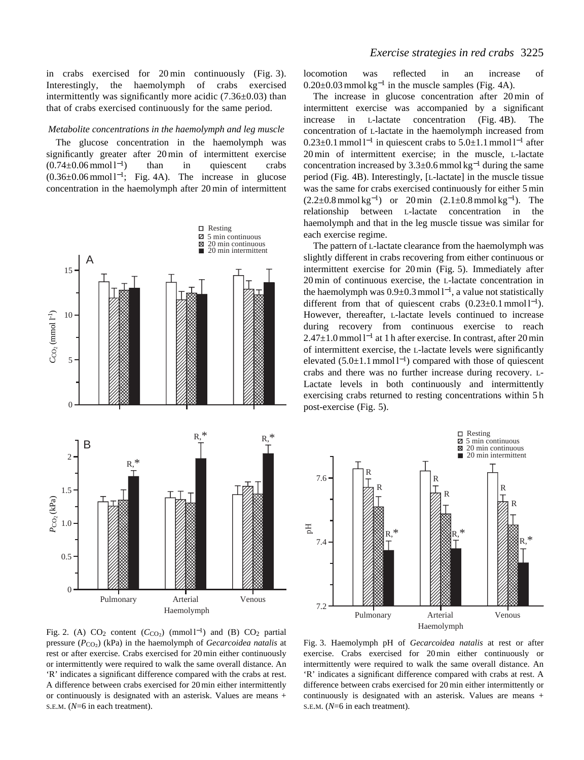in crabs exercised for 20 min continuously (Fig. 3). Interestingly, the haemolymph of crabs exercised intermittently was significantly more acidic  $(7.36\pm0.03)$  than that of crabs exercised continuously for the same period.

#### *Metabolite concentrations in the haemolymph and leg muscle*

The glucose concentration in the haemolymph was significantly greater after 20 min of intermittent exercise  $(0.74\pm0.06 \text{ mmol l}^{-1})$  than in quiescent crabs (0.36±0.06 mmol l<sup>−</sup>1; Fig. 4A). The increase in glucose concentration in the haemolymph after 20 min of intermittent



locomotion was reflected in an increase of 0.20±0.03 mmol kg−<sup>1</sup> in the muscle samples (Fig. 4A).

The increase in glucose concentration after 20 min of intermittent exercise was accompanied by a significant increase in L-lactate concentration (Fig. 4B). The concentration of L-lactate in the haemolymph increased from  $0.23\pm0.1$  mmol l<sup>-1</sup> in quiescent crabs to  $5.0\pm1.1$  mmol l<sup>-1</sup> after 20 min of intermittent exercise; in the muscle, L-lactate concentration increased by  $3.3\pm0.6$  mmol kg<sup>-1</sup> during the same period (Fig. 4B). Interestingly, [L-lactate] in the muscle tissue was the same for crabs exercised continuously for either 5 min  $(2.2\pm0.8 \text{ mmol kg}^{-1})$  or  $20 \text{ min}$   $(2.1\pm0.8 \text{ mmol kg}^{-1})$ . The relationship between L-lactate concentration in the haemolymph and that in the leg muscle tissue was similar for each exercise regime.

The pattern of L-lactate clearance from the haemolymph was slightly different in crabs recovering from either continuous or intermittent exercise for 20 min (Fig. 5). Immediately after 20 min of continuous exercise, the L-lactate concentration in the haemolymph was  $0.9\pm0.3$  mmol l<sup>-1</sup>, a value not statistically different from that of quiescent crabs  $(0.23\pm0.1 \text{ mmol} \, \text{m}^{-1})$ . However, thereafter, L-lactate levels continued to increase during recovery from continuous exercise to reach 2.47±1.0 mmol l−<sup>1</sup> at 1 h after exercise. In contrast, after 20 min of intermittent exercise, the L-lactate levels were significantly elevated  $(5.0\pm1.1 \text{ mmol l}^{-1})$  compared with those of quiescent crabs and there was no further increase during recovery. L-Lactate levels in both continuously and intermittently exercising crabs returned to resting concentrations within 5 h post-exercise (Fig. 5). 0



Fig. 2. (A) CO<sub>2</sub> content ( $C_{CO<sub>2</sub>}$ ) (mmol l<sup>-1</sup>) and (B) CO<sub>2</sub> partial pressure ( $P_{CO<sub>2</sub>}$ ) (kPa) in the haemolymph of *Gecarcoidea natalis* at rest or after exercise. Crabs exercised for 20 min either continuously or intermittently were required to walk the same overall distance. An 'R' indicates a significant difference compared with the crabs at rest. A difference between crabs exercised for 20 min either intermittently or continuously is designated with an asterisk. Values are means + S.E.M. (*N*=6 in each treatment).

Fig. 3. Haemolymph pH of *Gecarcoidea natalis* at rest or after exercise. Crabs exercised for 20 min either continuously or intermittently were required to walk the same overall distance. An 'R' indicates a significant difference compared with crabs at rest. A difference between crabs exercised for 20 min either intermittently or continuously is designated with an asterisk. Values are means + S.E.M. (*N*=6 in each treatment).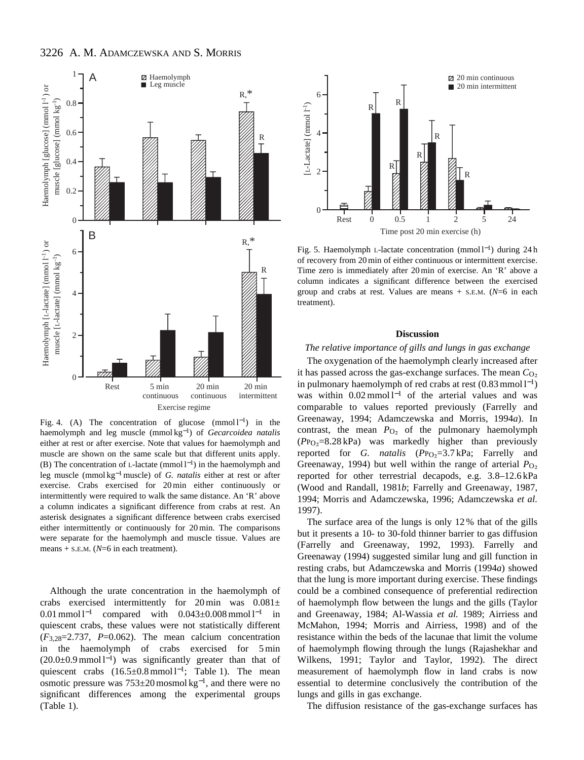

Fig. 4. (A) The concentration of glucose (mmol  $l^{-1}$ ) in the haemolymph and leg muscle (mmol kg<sup>−</sup>1) of *Gecarcoidea natalis* either at rest or after exercise. Note that values for haemolymph and muscle are shown on the same scale but that different units apply. (B) The concentration of L-lactate (mmol l<sup>−</sup>1) in the haemolymph and leg muscle (mmol kg<sup>−</sup>1muscle) of *G. natalis* either at rest or after exercise. Crabs exercised for 20 min either continuously or intermittently were required to walk the same distance. An 'R' above a column indicates a significant difference from crabs at rest. An asterisk designates a significant difference between crabs exercised either intermittently or continuously for 20 min. The comparisons were separate for the haemolymph and muscle tissue. Values are means + S.E.M. ( $N=6$  in each treatment).

Although the urate concentration in the haemolymph of crabs exercised intermittently for  $20 \text{ min}$  was  $0.081 \pm$  $0.01$  mmol l<sup>-1</sup> compared with  $0.043\pm0.008$  mmol l<sup>-1</sup> in quiescent crabs, these values were not statistically different (*F*3,28=2.737, *P*=0.062). The mean calcium concentration in the haemolymph of crabs exercised for 5 min  $(20.0±0.9$  mmol l<sup>-1</sup>) was significantly greater than that of quiescent crabs  $(16.5\pm0.8 \text{ mmol l}^{-1})$ ; Table 1). The mean osmotic pressure was 753±20 mosmol kg<sup>−</sup>1, and there were no significant differences among the experimental groups (Table 1).



Fig. 5. Haemolymph L-lactate concentration (mmol l<sup>−</sup>1) during 24 h of recovery from 20 min of either continuous or intermittent exercise. Time zero is immediately after 20 min of exercise. An 'R' above a column indicates a significant difference between the exercised group and crabs at rest. Values are means + S.E.M. (*N*=6 in each treatment).

### **Discussion**

### *The relative importance of gills and lungs in gas exchange*

The oxygenation of the haemolymph clearly increased after it has passed across the gas-exchange surfaces. The mean  $C_{\text{O}_2}$ in pulmonary haemolymph of red crabs at rest  $(0.83 \text{ mmol } l^{-1})$ was within 0.02 mmol l<sup>−1</sup> of the arterial values and was comparable to values reported previously (Farrelly and Greenaway, 1994; Adamczewska and Morris, 1994*a*). In contrast, the mean  $P<sub>O<sub>2</sub></sub>$  of the pulmonary haemolymph (*P*PO∑=8.28 kPa) was markedly higher than previously reported for *G. natalis* (*P*P<sub>O</sub><sub>2</sub>=3.7 kPa; Farrelly and Greenaway, 1994) but well within the range of arterial  $P_{\text{O}_2}$ reported for other terrestrial decapods, e.g. 3.8–12.6 kPa (Wood and Randall, 1981*b*; Farrelly and Greenaway, 1987, 1994; Morris and Adamczewska, 1996; Adamczewska *et al.* 1997).

The surface area of the lungs is only 12 % that of the gills but it presents a 10- to 30-fold thinner barrier to gas diffusion (Farrelly and Greenaway, 1992, 1993). Farrelly and Greenaway (1994) suggested similar lung and gill function in resting crabs, but Adamczewska and Morris (1994*a*) showed that the lung is more important during exercise. These findings could be a combined consequence of preferential redirection of haemolymph flow between the lungs and the gills (Taylor and Greenaway, 1984; Al-Wassia *et al.* 1989; Airriess and McMahon, 1994; Morris and Airriess, 1998) and of the resistance within the beds of the lacunae that limit the volume of haemolymph flowing through the lungs (Rajashekhar and Wilkens, 1991; Taylor and Taylor, 1992). The direct measurement of haemolymph flow in land crabs is now essential to determine conclusively the contribution of the lungs and gills in gas exchange.

The diffusion resistance of the gas-exchange surfaces has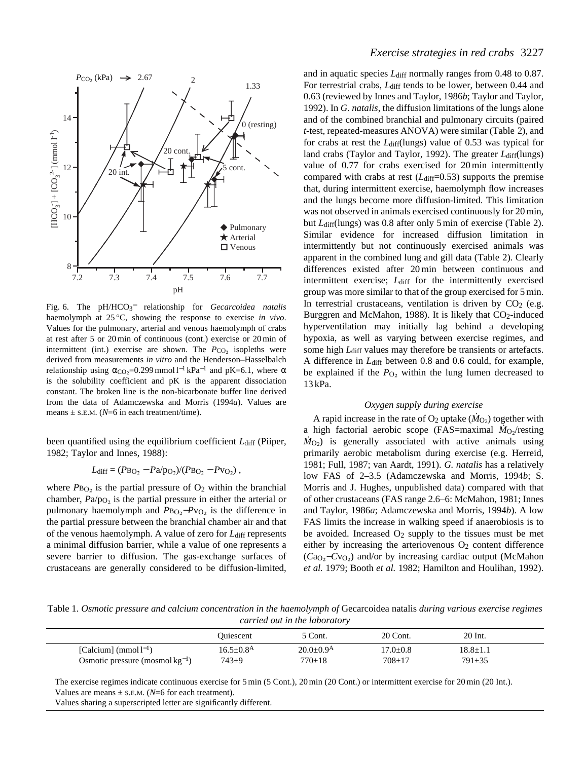

Fig. 6. The pH/HCO<sub>3</sub><sup>-</sup> relationship for *Gecarcoidea natalis* haemolymph at 25 °C, showing the response to exercise *in vivo*. Values for the pulmonary, arterial and venous haemolymph of crabs at rest after 5 or 20 min of continuous (cont.) exercise or 20 min of intermittent (int.) exercise are shown. The  $P_{\text{CO}_2}$  isopleths were derived from measurements *in vitro* and the Henderson–Hasselbalch relationship using  $\alpha_{\text{CO}}$ =0.299 mmol l<sup>-1</sup> kPa<sup>-1</sup> and pK=6.1, where  $\alpha$ is the solubility coefficient and pK is the apparent dissociation constant. The broken line is the non-bicarbonate buffer line derived from the data of Adamczewska and Morris (1994*a*). Values are means  $\pm$  s.E.M. ( $N=6$  in each treatment/time).

been quantified using the equilibrium coefficient *L*<sub>diff</sub> (Piiper, 1982; Taylor and Innes, 1988):

$$
L_{\text{diff}} = (P_{\text{B}_2} - P_{\text{A}}/p_{\text{O}_2})/(P_{\text{B}_2} - P_{\text{V}_{\text{O}_2}}),
$$

where  $P_{B_0}$  is the partial pressure of  $O_2$  within the branchial chamber,  $Pa/p<sub>O<sub>2</sub></sub>$  is the partial pressure in either the arterial or pulmonary haemolymph and  $P_{B_2}-P_{V_2}$  is the difference in the partial pressure between the branchial chamber air and that of the venous haemolymph. A value of zero for *L*<sub>diff</sub> represents a minimal diffusion barrier, while a value of one represents a severe barrier to diffusion. The gas-exchange surfaces of crustaceans are generally considered to be diffusion-limited,

# *Exercise strategies in red crabs* 3227

and in aquatic species *L*<sub>diff</sub> normally ranges from 0.48 to 0.87. For terrestrial crabs, *L*<sub>diff</sub> tends to be lower, between 0.44 and 0.63 (reviewed by Innes and Taylor, 1986*b*; Taylor and Taylor, 1992). In *G. natalis*, the diffusion limitations of the lungs alone and of the combined branchial and pulmonary circuits (paired *t*-test, repeated-measures ANOVA) were similar (Table 2), and for crabs at rest the *L*diff(lungs) value of 0.53 was typical for land crabs (Taylor and Taylor, 1992). The greater *L*<sub>diff</sub>(lungs) value of 0.77 for crabs exercised for 20 min intermittently compared with crabs at rest (*L*<sub>diff</sub>=0.53) supports the premise that, during intermittent exercise, haemolymph flow increases and the lungs become more diffusion-limited. This limitation was not observed in animals exercised continuously for 20 min, but *L*diff(lungs) was 0.8 after only 5 min of exercise (Table 2). Similar evidence for increased diffusion limitation in intermittently but not continuously exercised animals was apparent in the combined lung and gill data (Table 2). Clearly differences existed after 20 min between continuous and intermittent exercise; *L*<sub>diff</sub> for the intermittently exercised group was more similar to that of the group exercised for 5 min. In terrestrial crustaceans, ventilation is driven by  $CO<sub>2</sub>$  (e.g. Burggren and McMahon, 1988). It is likely that  $CO<sub>2</sub>$ -induced hyperventilation may initially lag behind a developing hypoxia, as well as varying between exercise regimes, and some high *L*<sub>diff</sub> values may therefore be transients or artefacts. A difference in *L*diff between 0.8 and 0.6 could, for example, be explained if the  $P_{\text{O}_2}$  within the lung lumen decreased to 13 kPa.

## *Oxygen supply during exercise*

A rapid increase in the rate of  $O_2$  uptake  $(M<sub>O2</sub>)$  together with a high factorial aerobic scope (FAS=maximal  $M_{\text{O}_2}$ /resting  $\dot{M}_{\text{O}_2}$ ) is generally associated with active animals using primarily aerobic metabolism during exercise (e.g. Herreid, 1981; Full, 1987; van Aardt, 1991). *G. natalis* has a relatively low FAS of 2–3.5 (Adamczewska and Morris, 1994*b*; S. Morris and J. Hughes, unpublished data) compared with that of other crustaceans (FAS range 2.6–6: McMahon, 1981; Innes and Taylor, 1986*a*; Adamczewska and Morris, 1994*b*). A low FAS limits the increase in walking speed if anaerobiosis is to be avoided. Increased  $O<sub>2</sub>$  supply to the tissues must be met either by increasing the arteriovenous  $O<sub>2</sub>$  content difference (*C*aO∑−*C*vO∑) and/or by increasing cardiac output (McMahon *et al.* 1979; Booth *et al.* 1982; Hamilton and Houlihan, 1992).

Table 1. *Osmotic pressure and calcium concentration in the haemolymph of* Gecarcoidea natalis *during various exercise regimes carried out in the laboratory*

|                                      | Ouiescent     | <sup>7</sup> Cont. | 20 Cont.       | 20 Int.      |  |
|--------------------------------------|---------------|--------------------|----------------|--------------|--|
| [Calcium] (mmol $l^{-1}$ )           | $16.5 + 0.8A$ | $20.0+0.9A$        | $17.0 \pm 0.8$ | 18.8±1.1     |  |
| Osmotic pressure (mosmol $kg^{-1}$ ) | 743±9         | 770±18             | $708 + 17$     | $791 \pm 35$ |  |

The exercise regimes indicate continuous exercise for 5 min (5 Cont.), 20 min (20 Cont.) or intermittent exercise for 20 min (20 Int.). Values are means  $\pm$  s.E.M. ( $N=6$  for each treatment).

Values sharing a superscripted letter are significantly different.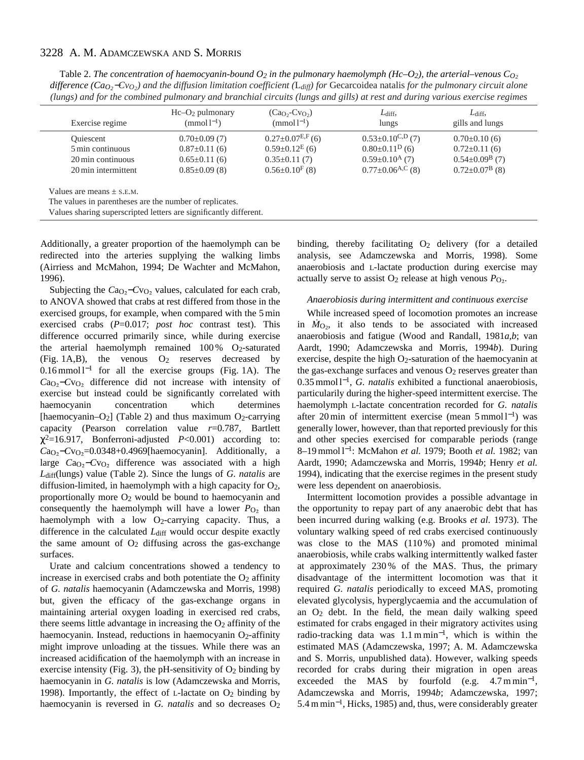Table 2. *The concentration of haemocyanin-bound O2 in the pulmonary haemolymph (Hc–O2), the arterial–venous CO2 difference (CaO2*−*CvO2) and the diffusion limitation coefficient (*L*diff) for* Gecarcoidea natalis *for the pulmonary circuit alone (lungs) and for the combined pulmonary and branchial circuits (lungs and gills) at rest and during various exercise regimes*

| Exercise regime                                                   | $Hc-O2$ pulmonary<br>$(mmol-1)$ | $(CaQ, -CvQ)$<br>$(mmol-1)$        | $L_{diff}$<br>lungs                | $L_{diff}$<br>gills and lungs    |  |  |  |
|-------------------------------------------------------------------|---------------------------------|------------------------------------|------------------------------------|----------------------------------|--|--|--|
| Quiescent                                                         | $0.70\pm0.09(7)$                | $0.27 \pm 0.07$ <sup>E,F</sup> (6) | $0.53 \pm 0.10$ C,D (7)            | $0.70 \pm 0.10$ (6)              |  |  |  |
| 5 min continuous                                                  | $0.87 \pm 0.11$ (6)             | $0.59 \pm 0.12$ <sup>E</sup> (6)   | $0.80 \pm 0.11$ <sup>D</sup> (6)   | $0.72 \pm 0.11$ (6)              |  |  |  |
| 20 min continuous                                                 | $0.65 \pm 0.11(6)$              | $0.35 \pm 0.11(7)$                 | $0.59 \pm 0.10$ <sup>A</sup> (7)   | $0.54 \pm 0.09$ <sup>B</sup> (7) |  |  |  |
| 20 min intermittent                                               | $0.85 \pm 0.09$ (8)             | $0.56 \pm 0.10$ <sup>F</sup> (8)   | $0.77 \pm 0.06$ <sup>A,C</sup> (8) | $0.72 \pm 0.07^{\rm B}$ (8)      |  |  |  |
| Values are means $+$ S.E.M.                                       |                                 |                                    |                                    |                                  |  |  |  |
| The values in parentheses are the number of replicates.           |                                 |                                    |                                    |                                  |  |  |  |
| Values sharing superscripted letters are significantly different. |                                 |                                    |                                    |                                  |  |  |  |

Additionally, a greater proportion of the haemolymph can be redirected into the arteries supplying the walking limbs (Airriess and McMahon, 1994; De Wachter and McMahon, 1996).

Subjecting the *C*a<sub>O</sub><sub>2</sub>−*C*v<sub>O</sub><sub>2</sub> values, calculated for each crab, to ANOVA showed that crabs at rest differed from those in the exercised groups, for example, when compared with the 5 min exercised crabs (*P*=0.017; *post hoc* contrast test). This difference occurred primarily since, while during exercise the arterial haemolymph remained  $100\%$  O<sub>2</sub>-saturated (Fig. 1A,B), the venous  $O_2$  reserves decreased by 0.16 mmol l−<sup>1</sup> for all the exercise groups (Fig. 1A). The *C*a<sub>O</sub><sub>2</sub>−*C*v<sub>O</sub><sub>2</sub> difference did not increase with intensity of exercise but instead could be significantly correlated with haemocyanin concentration which determines [haemocyanin–O<sub>2</sub>] (Table 2) and thus maximum O<sub>2</sub>-carrying capacity (Pearson correlation value *r*=0.787, Bartlett  $\chi^2$ =16.917, Bonferroni-adjusted *P*<0.001) according to: *C*a<sub>O</sub><sub>2</sub>−*C*v<sub>O</sub><sub>2</sub>=0.0348+0.4969[haemocyanin]. Additionally, a large *C*a<sub>O</sub><sub>2</sub>−*C*v<sub>O</sub><sub>2</sub> difference was associated with a high *L*diff(lungs) value (Table 2). Since the lungs of *G. natalis* are diffusion-limited, in haemolymph with a high capacity for  $O_2$ , proportionally more  $O_2$  would be bound to haemocyanin and consequently the haemolymph will have a lower  $P_{\text{O}_2}$  than haemolymph with a low  $O<sub>2</sub>$ -carrying capacity. Thus, a difference in the calculated *L*<sub>diff</sub> would occur despite exactly the same amount of  $O_2$  diffusing across the gas-exchange surfaces.

Urate and calcium concentrations showed a tendency to increase in exercised crabs and both potentiate the  $O<sub>2</sub>$  affinity of *G. natalis* haemocyanin (Adamczewska and Morris, 1998) but, given the efficacy of the gas-exchange organs in maintaining arterial oxygen loading in exercised red crabs, there seems little advantage in increasing the  $O<sub>2</sub>$  affinity of the haemocyanin. Instead, reductions in haemocyanin  $O<sub>2</sub>$ -affinity might improve unloading at the tissues. While there was an increased acidification of the haemolymph with an increase in exercise intensity (Fig. 3), the pH-sensitivity of  $O_2$  binding by haemocyanin in *G. natalis* is low (Adamczewska and Morris, 1998). Importantly, the effect of  $L$ -lactate on  $O_2$  binding by haemocyanin is reversed in *G. natalis* and so decreases O<sub>2</sub> binding, thereby facilitating  $O_2$  delivery (for a detailed analysis, see Adamczewska and Morris, 1998). Some anaerobiosis and L-lactate production during exercise may actually serve to assist  $O_2$  release at high venous  $P_{O_2}$ .

### *Anaerobiosis during intermittent and continuous exercise*

While increased speed of locomotion promotes an increase in  $\dot{M}_{\text{O}_2}$ , it also tends to be associated with increased anaerobiosis and fatigue (Wood and Randall, 1981*a*,*b*; van Aardt, 1990; Adamczewska and Morris, 1994*b*). During exercise, despite the high  $O<sub>2</sub>$ -saturation of the haemocyanin at the gas-exchange surfaces and venous  $O<sub>2</sub>$  reserves greater than 0.35 mmol l<sup>−</sup>1, *G. natalis* exhibited a functional anaerobiosis, particularily during the higher-speed intermittent exercise. The haemolymph L-lactate concentration recorded for *G. natalis* after 20 min of intermittent exercise (mean 5 mmol l<sup>−</sup>1) was generally lower, however, than that reported previously for this and other species exercised for comparable periods (range 8–19 mmol l<sup>−</sup>1: McMahon *et al.* 1979; Booth *et al.* 1982; van Aardt, 1990; Adamczewska and Morris, 1994*b*; Henry *et al.* 1994), indicating that the exercise regimes in the present study were less dependent on anaerobiosis.

Intermittent locomotion provides a possible advantage in the opportunity to repay part of any anaerobic debt that has been incurred during walking (e.g. Brooks *et al.* 1973). The voluntary walking speed of red crabs exercised continuously was close to the MAS (110%) and promoted minimal anaerobiosis, while crabs walking intermittently walked faster at approximately 230 % of the MAS. Thus, the primary disadvantage of the intermittent locomotion was that it required *G. natalis* periodically to exceed MAS, promoting elevated glycolysis, hyperglycaemia and the accumulation of an  $O_2$  debt. In the field, the mean daily walking speed estimated for crabs engaged in their migratory activites using radio-tracking data was  $1.1 \text{ m min}^{-1}$ , which is within the estimated MAS (Adamczewska, 1997; A. M. Adamczewska and S. Morris, unpublished data). However, walking speeds recorded for crabs during their migration in open areas exceeded the MAS by fourfold (e.g.  $4.7 \text{ m min}^{-1}$ , Adamczewska and Morris, 1994*b*; Adamczewska, 1997; 5.4 m min<sup>−</sup>1, Hicks, 1985) and, thus, were considerably greater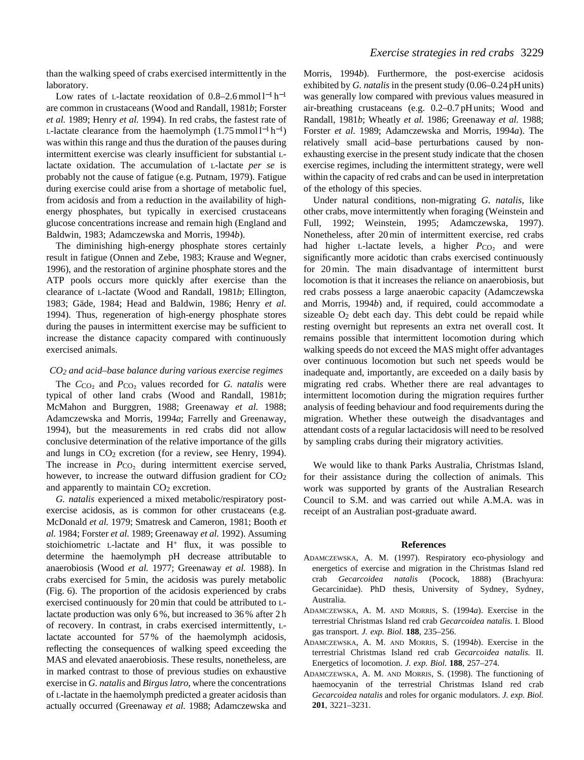Low rates of L-lactate reoxidation of  $0.8-2.6$  mmol l<sup>-1</sup> h<sup>-1</sup> are common in crustaceans (Wood and Randall, 1981*b*; Forster *et al.* 1989; Henry *et al.* 1994). In red crabs, the fastest rate of L-lactate clearance from the haemolymph  $(1.75 \text{ mmol} \, \text{l}^{-1} \, \text{h}^{-1})$ was within this range and thus the duration of the pauses during intermittent exercise was clearly insufficient for substantial Llactate oxidation. The accumulation of L-lactate *per se* is probably not the cause of fatigue (e.g. Putnam, 1979). Fatigue during exercise could arise from a shortage of metabolic fuel, from acidosis and from a reduction in the availability of highenergy phosphates, but typically in exercised crustaceans glucose concentrations increase and remain high (England and Baldwin, 1983; Adamczewska and Morris, 1994*b*).

The diminishing high-energy phosphate stores certainly result in fatigue (Onnen and Zebe, 1983; Krause and Wegner, 1996), and the restoration of arginine phosphate stores and the ATP pools occurs more quickly after exercise than the clearance of L-lactate (Wood and Randall, 1981*b*; Ellington, 1983; Gäde, 1984; Head and Baldwin, 1986; Henry *et al.* 1994). Thus, regeneration of high-energy phosphate stores during the pauses in intermittent exercise may be sufficient to increase the distance capacity compared with continuously exercised animals.

### *CO2 and acid–base balance during various exercise regimes*

The  $C_{CO_2}$  and  $P_{CO_2}$  values recorded for *G. natalis* were typical of other land crabs (Wood and Randall, 1981*b*; McMahon and Burggren, 1988; Greenaway *et al.* 1988; Adamczewska and Morris, 1994*a*; Farrelly and Greenaway, 1994), but the measurements in red crabs did not allow conclusive determination of the relative importance of the gills and lungs in  $CO<sub>2</sub>$  excretion (for a review, see Henry, 1994). The increase in  $P_{CO<sub>2</sub>}$  during intermittent exercise served, however, to increase the outward diffusion gradient for CO<sub>2</sub> and apparently to maintain CO<sub>2</sub> excretion.

*G. natalis* experienced a mixed metabolic/respiratory postexercise acidosis, as is common for other crustaceans (e.g. McDonald *et al.* 1979; Smatresk and Cameron, 1981; Booth *et al.* 1984; Forster *et al.* 1989; Greenaway *et al.* 1992). Assuming stoichiometric  $L$ -lactate and  $H^+$  flux, it was possible to determine the haemolymph pH decrease attributable to anaerobiosis (Wood *et al.* 1977; Greenaway *et al.* 1988). In crabs exercised for 5 min, the acidosis was purely metabolic (Fig. 6). The proportion of the acidosis experienced by crabs exercised continuously for 20 min that could be attributed to Llactate production was only 6 %, but increased to 36 % after 2 h of recovery. In contrast, in crabs exercised intermittently, Llactate accounted for 57 % of the haemolymph acidosis, reflecting the consequences of walking speed exceeding the MAS and elevated anaerobiosis. These results, nonetheless, are in marked contrast to those of previous studies on exhaustive exercise in *G. natalis* and *Birgus latro*, where the concentrations of L-lactate in the haemolymph predicted a greater acidosis than actually occurred (Greenaway *et al.* 1988; Adamczewska and

Morris, 1994*b*). Furthermore, the post-exercise acidosis exhibited by *G. natalis* in the present study (0.06–0.24 pH units) was generally low compared with previous values measured in air-breathing crustaceans (e.g. 0.2–0.7 pH units; Wood and Randall, 1981*b*; Wheatly *et al.* 1986; Greenaway *et al.* 1988; Forster *et al.* 1989; Adamczewska and Morris, 1994*a*). The relatively small acid–base perturbations caused by nonexhausting exercise in the present study indicate that the chosen exercise regimes, including the intermittent strategy, were well within the capacity of red crabs and can be used in interpretation of the ethology of this species.

Under natural conditions, non-migrating *G. natalis*, like other crabs, move intermittently when foraging (Weinstein and Full, 1992; Weinstein, 1995; Adamczewska, 1997). Nonetheless, after 20 min of intermittent exercise, red crabs had higher L-lactate levels, a higher  $P_{CO<sub>2</sub>}$  and were significantly more acidotic than crabs exercised continuously for 20 min. The main disadvantage of intermittent burst locomotion is that it increases the reliance on anaerobiosis, but red crabs possess a large anaerobic capacity (Adamczewska and Morris, 1994*b*) and, if required, could accommodate a sizeable  $O<sub>2</sub>$  debt each day. This debt could be repaid while resting overnight but represents an extra net overall cost. It remains possible that intermittent locomotion during which walking speeds do not exceed the MAS might offer advantages over continuous locomotion but such net speeds would be inadequate and, importantly, are exceeded on a daily basis by migrating red crabs. Whether there are real advantages to intermittent locomotion during the migration requires further analysis of feeding behaviour and food requirements during the migration. Whether these outweigh the disadvantages and attendant costs of a regular lactacidosis will need to be resolved by sampling crabs during their migratory activities.

We would like to thank Parks Australia, Christmas Island, for their assistance during the collection of animals. This work was supported by grants of the Australian Research Council to S.M. and was carried out while A.M.A. was in receipt of an Australian post-graduate award.

### **References**

- ADAMCZEWSKA, A. M. (1997). Respiratory eco-physiology and energetics of exercise and migration in the Christmas Island red crab *Gecarcoidea natalis* (Pocock, 1888) (Brachyura: Gecarcinidae). PhD thesis, University of Sydney, Sydney, Australia.
- ADAMCZEWSKA, A. M. AND MORRIS, S. (1994*a*). Exercise in the terrestrial Christmas Island red crab *Gecarcoidea natalis.* I. Blood gas transport. *J. exp. Biol.* **188**, 235–256.
- ADAMCZEWSKA, A. M. AND MORRIS, S. (1994*b*). Exercise in the terrestrial Christmas Island red crab *Gecarcoidea natalis.* II. Energetics of locomotion. *J. exp. Biol.* **188**, 257–274.
- ADAMCZEWSKA, A. M. AND MORRIS, S. (1998). The functioning of haemocyanin of the terrestrial Christmas Island red crab *Gecarcoidea natalis* and roles for organic modulators. *J. exp. Biol.* **201**, 3221–3231.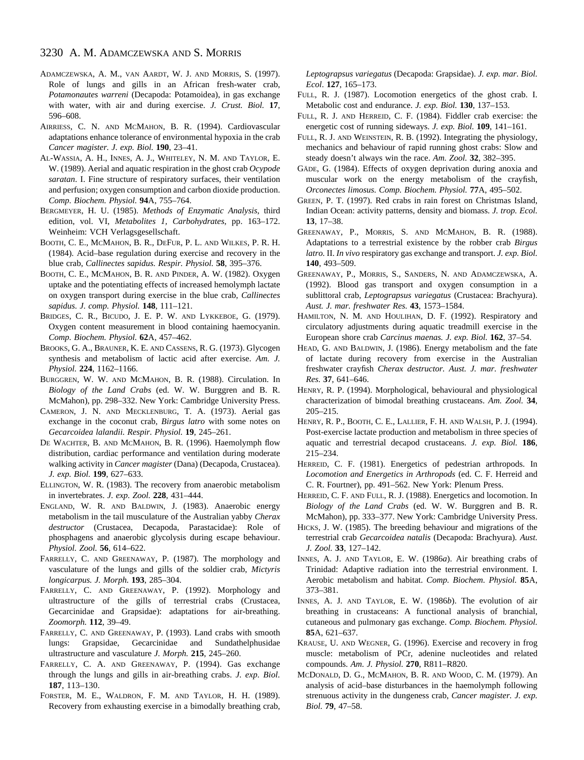- ADAMCZEWSKA, A. M., VAN AARDT, W. J. AND MORRIS, S. (1997). Role of lungs and gills in an African fresh-water crab, *Potamonautes warreni* (Decapoda: Potamoidea), in gas exchange with water, with air and during exercise. *J. Crust. Biol.* **17**, 596–608.
- AIRRIESS, C. N. AND MCMAHON, B. R. (1994). Cardiovascular adaptations enhance tolerance of environmental hypoxia in the crab *Cancer magister. J. exp. Biol.* **190**, 23–41.
- AL-WASSIA, A. H., INNES, A. J., WHITELEY, N. M. AND TAYLOR, E. W. (1989). Aerial and aquatic respiration in the ghost crab *Ocypode saratan*. I. Fine structure of respiratory surfaces, their ventilation and perfusion; oxygen consumption and carbon dioxide production. *Comp. Biochem. Physiol.* **94**A, 755–764.
- BERGMEYER, H. U. (1985). *Methods of Enzymatic Analysis*, third edition, vol. VI, *Metabolites 1, Carbohydrates*, pp. 163–172. Weinheim: VCH Verlagsgesellschaft.
- BOOTH, C. E., MCMAHON, B. R., DEFUR, P. L. AND WILKES, P. R. H. (1984). Acid–base regulation during exercise and recovery in the blue crab, *Callinectes sapidus. Respir. Physiol.* **58**, 395–376.
- BOOTH, C. E., MCMAHON, B. R. AND PINDER, A. W. (1982). Oxygen uptake and the potentiating effects of increased hemolymph lactate on oxygen transport during exercise in the blue crab, *Callinectes sapidus. J. comp. Physiol.* **148**, 111–121.
- BRIDGES, C. R., BICUDO, J. E. P. W. AND LYKKEBOE, G. (1979). Oxygen content measurement in blood containing haemocyanin. *Comp. Biochem. Physiol.* **62**A, 457–462.
- BROOKS, G. A., BRAUNER, K. E. AND CASSENS, R. G. (1973). Glycogen synthesis and metabolism of lactic acid after exercise. *Am. J. Physiol.* **224**, 1162–1166.
- BURGGREN, W. W. AND MCMAHON, B. R. (1988). Circulation. In *Biology of the Land Crabs* (ed. W. W. Burggren and B. R. McMahon), pp. 298–332. New York: Cambridge University Press.
- CAMERON, J. N. AND MECKLENBURG, T. A. (1973). Aerial gas exchange in the coconut crab, *Birgus latro* with some notes on *Gecarcoidea lalandii. Respir. Physiol.* **19**, 245–261.
- DE WACHTER, B. AND MCMAHON, B. R. (1996). Haemolymph flow distribution, cardiac performance and ventilation during moderate walking activity in *Cancer magister* (Dana) (Decapoda, Crustacea). *J. exp. Biol.* **199**, 627–633.
- ELLINGTON, W. R. (1983). The recovery from anaerobic metabolism in invertebrates. *J. exp. Zool.* **228**, 431–444.
- ENGLAND, W. R. AND BALDWIN, J. (1983). Anaerobic energy metabolism in the tail musculature of the Australian yabby *Cherax destructor* (Crustacea, Decapoda, Parastacidae): Role of phosphagens and anaerobic glycolysis during escape behaviour. *Physiol. Zool.* **56**, 614–622.
- FARRELLY, C. AND GREENAWAY, P. (1987). The morphology and vasculature of the lungs and gills of the soldier crab, *Mictyris longicarpus. J. Morph.* **193**, 285–304.
- FARRELLY, C. AND GREENAWAY, P. (1992). Morphology and ultrastructure of the gills of terrestrial crabs (Crustacea, Gecarcinidae and Grapsidae): adaptations for air-breathing. *Zoomorph.* **112**, 39–49.
- FARRELLY, C. AND GREENAWAY, P. (1993). Land crabs with smooth lungs: Grapsidae, Gecarcinidae and Sundathelphusidae ultrastructure and vasculature *J. Morph.* **215**, 245–260.
- FARRELLY, C. A. AND GREENAWAY, P. (1994). Gas exchange through the lungs and gills in air-breathing crabs. *J. exp. Biol.* **187**, 113–130.
- FORSTER, M. E., WALDRON, F. M. AND TAYLOR, H. H. (1989). Recovery from exhausting exercise in a bimodally breathing crab,

*Leptograpsus variegatus* (Decapoda: Grapsidae). *J. exp. mar. Biol. Ecol*. **127**, 165–173.

- FULL, R. J. (1987). Locomotion energetics of the ghost crab. I. Metabolic cost and endurance. *J. exp. Biol.* **130**, 137–153.
- FULL, R. J. AND HERREID, C. F. (1984). Fiddler crab exercise: the energetic cost of running sideways. *J. exp. Biol.* **109**, 141–161.
- FULL, R. J. AND WEINSTEIN, R. B. (1992). Integrating the physiology, mechanics and behaviour of rapid running ghost crabs: Slow and steady doesn't always win the race. *Am. Zool.* **32**, 382–395.
- GÄDE, G. (1984). Effects of oxygen deprivation during anoxia and muscular work on the energy metabolism of the crayfish, *Orconectes limosus. Comp. Biochem. Physiol.* **77**A, 495–502.
- GREEN, P. T. (1997). Red crabs in rain forest on Christmas Island, Indian Ocean: activity patterns, density and biomass. *J. trop. Ecol.* **13**, 17–38.
- GREENAWAY, P., MORRIS, S. AND MCMAHON, B. R. (1988). Adaptations to a terrestrial existence by the robber crab *Birgus latro.* II. *In vivo* respiratory gas exchange and transport. *J. exp. Biol.* **140**, 493–509.
- GREENAWAY, P., MORRIS, S., SANDERS, N. AND ADAMCZEWSKA, A. (1992). Blood gas transport and oxygen consumption in a sublittoral crab, *Leptograpsus variegatus* (Crustacea: Brachyura). *Aust. J. mar. freshwater Res.* **43**, 1573–1584.
- HAMILTON, N. M. AND HOULIHAN, D. F. (1992). Respiratory and circulatory adjustments during aquatic treadmill exercise in the European shore crab *Carcinus maenas. J. exp. Biol.* **162**, 37–54.
- HEAD, G. AND BALDWIN, J. (1986). Energy metabolism and the fate of lactate during recovery from exercise in the Australian freshwater crayfish *Cherax destructor. Aust. J. mar. freshwater Res.* **37**, 641–646.
- HENRY, R. P. (1994). Morphological, behavioural and physiological characterization of bimodal breathing crustaceans. *Am. Zool.* **34**, 205–215.
- HENRY, R. P., BOOTH, C. E., LALLIER, F. H. AND WALSH, P. J. (1994). Post-exercise lactate production and metabolism in three species of aquatic and terrestrial decapod crustaceans. *J. exp. Biol.* **186**, 215–234.
- HERREID, C. F. (1981). Energetics of pedestrian arthropods. In *Locomotion and Energetics in Arthropods* (ed. C. F. Herreid and C. R. Fourtner), pp. 491–562. New York: Plenum Press.
- HERREID, C. F. AND FULL, R. J. (1988). Energetics and locomotion. In *Biology of the Land Crabs* (ed. W. W. Burggren and B. R. McMahon), pp. 333–377. New York: Cambridge University Press.
- HICKS, J. W. (1985). The breeding behaviour and migrations of the terrestrial crab *Gecarcoidea natalis* (Decapoda: Brachyura)*. Aust. J. Zool.* **33**, 127–142.
- INNES, A. J. AND TAYLOR, E. W. (1986*a*). Air breathing crabs of Trinidad: Adaptive radiation into the terrestrial environment. I. Aerobic metabolism and habitat. *Comp. Biochem. Physiol.* **85**A, 373–381.
- INNES, A. J. AND TAYLOR, E. W. (1986*b*). The evolution of air breathing in crustaceans: A functional analysis of branchial, cutaneous and pulmonary gas exchange. *Comp. Biochem. Physiol.* **85**A, 621–637.
- KRAUSE, U. AND WEGNER, G. (1996). Exercise and recovery in frog muscle: metabolism of PCr, adenine nucleotides and related compounds. *Am. J. Physiol.* **270**, R811–R820.
- MCDONALD, D. G., MCMAHON, B. R. AND WOOD, C. M. (1979). An analysis of acid–base disturbances in the haemolymph following strenuous activity in the dungeness crab, *Cancer magister. J. exp. Biol.* **79**, 47–58.